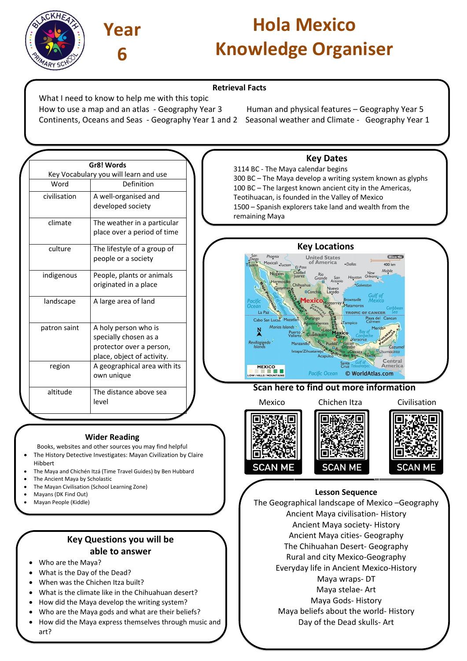



**Gr8! Words** Key Vocabulary you will learn and use Word Definition  $civilisation$   $A$  well-organised and

developed society

 $climate$  The weather in a particular

# **Hola Mexico Knowledge Organiser**

#### **Retrieval Facts**

What I need to know to help me with this topic How to use a map and an atlas - Geography Year 3 Human and physical features – Geography Year 5 Continents, Oceans and Seas - Geography Year 1 and 2 Seasonal weather and Climate - Geography Year 1

3114 BC - The Maya calendar begins 300 BC – The Maya develop a writing system known as glyphs 100 BC – The largest known ancient city in the Americas, Teotihuacan, is founded in the Valley of Mexico 1500 – Spanish explorers take land and wealth from the remaining Maya

 $\bullet$ Dallas

Houston

Matamoro

**COMM** 

 $400 k$ Mobile

Cancun

Central Amerio

© WorldAtlas.com

|              | place over a period of time                                                                             |                                                                                                                                                                              |
|--------------|---------------------------------------------------------------------------------------------------------|------------------------------------------------------------------------------------------------------------------------------------------------------------------------------|
| culture      | The lifestyle of a group of<br>people or a society                                                      | <b>Key Locations</b><br>Phoenix<br><b>United States</b><br>of America<br>Mexicali Tucson<br>$\noindent$ <b>•</b> Dallo<br>Tijuana<br>El Paso                                 |
| indigenous   | People, plants or animals<br>originated in a place                                                      | Ciudad<br><b>Nogales</b><br>Rio<br>luarez<br>Hot<br>Grande<br>San<br>Antonio<br>Hermosillo<br>Chihuahua<br>Guaymas <sub>in</sub><br><b>Nuevc</b><br>$\Box$ Conchos<br>Laredo |
| landscape    | A large area of land                                                                                    | exico <sub>Monterrey</sub><br>Pacific<br>Ocean<br>La Paz<br><b>TRO</b><br>Durango<br>Cabo San Lucas Mazatlan<br>dTampio                                                      |
| patron saint | A holy person who is<br>specially chosen as a<br>protector over a person,<br>place, object of activity. | <b>Aguascalientes</b><br>Marias Islands<br>Puerto<br>Vallarta<br>Guadalajar<br>Revillagigedo<br>Manzanillo<br><b>Islands</b><br>Ixtapa/Zihuatanejo                           |
| region       | A geographical area with its<br>own unique                                                              | Santa<br>Cruz Te<br><b>MEXICO</b><br><b>Pacific Ocean</b><br>© V                                                                                                             |

### **Scan here to find out more information**

Mexico Chichen Itza Civilisation **SCAN ME SCAN ME SCAN** 

### **Lesson Sequence**

The Geographical landscape of Mexico –Geography Ancient Maya civilisation- History Ancient Maya society- History Ancient Maya cities- Geography The Chihuahan Desert- Geography Rural and city Mexico-Geography Everyday life in Ancient Mexico-History Maya wraps- DT Maya stelae- Art Maya Gods- History Maya beliefs about the world- History

Day of the Dead skulls- Art

## **Wider Reading**

altitude  $\Box$  The distance above sea level

Books, websites and other sources you may find helpful

- The History Detective Investigates: Mayan Civilization by Claire Hibbert
- The Maya and Chichén Itzá (Time Travel Guides) by Ben Hubbard
- The Ancient Maya by Scholastic
- The Mayan Civilisation (School Learning Zone)
- Mayans (DK Find Out)
- Mayan People (Kiddle)

## **Key Questions you will be able to answer**

- Who are the Maya?
- What is the Day of the Dead?
- When was the Chichen Itza built?
- What is the climate like in the Chihuahuan desert?
- How did the Maya develop the writing system?
- Who are the Maya gods and what are their beliefs?
- How did the Maya express themselves through music and art?